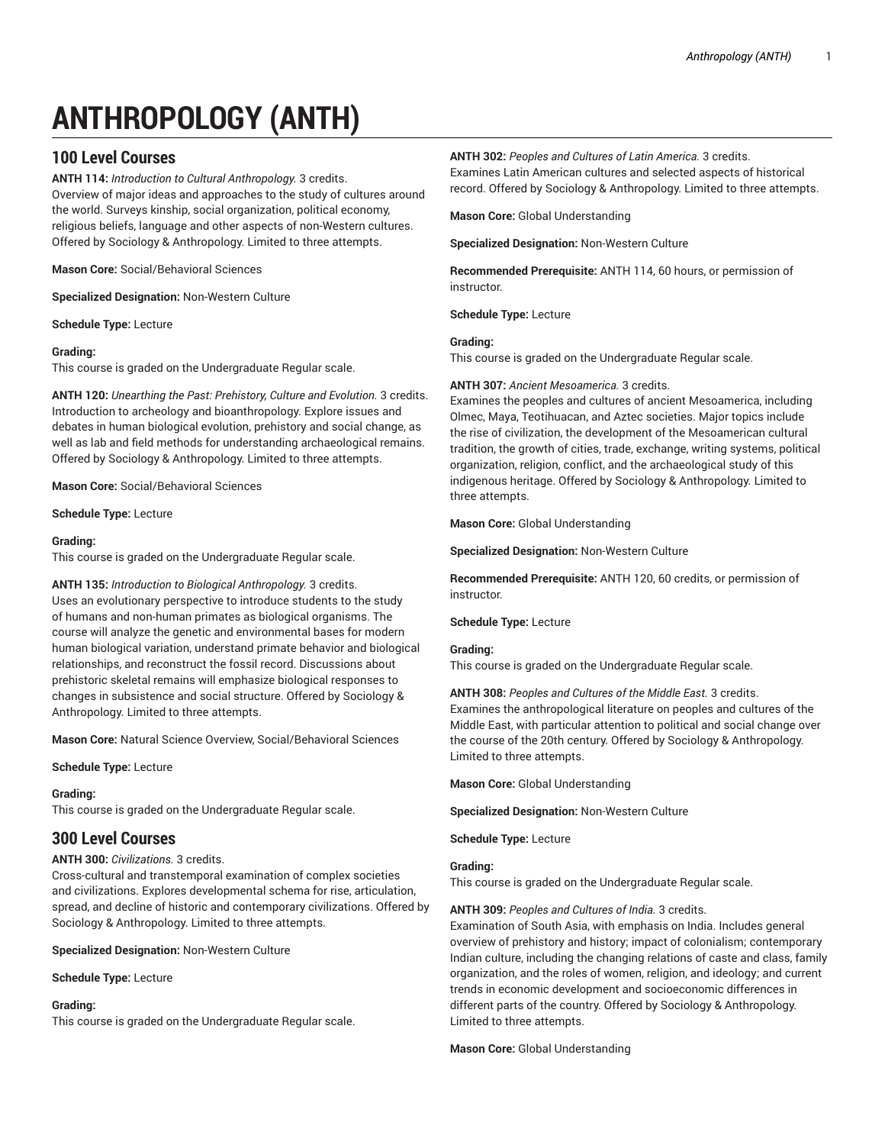# **ANTHROPOLOGY (ANTH)**

# **100 Level Courses**

**ANTH 114:** *Introduction to Cultural Anthropology.* 3 credits. Overview of major ideas and approaches to the study of cultures around the world. Surveys kinship, social organization, political economy, religious beliefs, language and other aspects of non-Western cultures. Offered by Sociology & Anthropology. Limited to three attempts.

**Mason Core:** Social/Behavioral Sciences

**Specialized Designation:** Non-Western Culture

**Schedule Type:** Lecture

# **Grading:**

This course is graded on the Undergraduate Regular scale.

**ANTH 120:** *Unearthing the Past: Prehistory, Culture and Evolution.* 3 credits. Introduction to archeology and bioanthropology. Explore issues and debates in human biological evolution, prehistory and social change, as well as lab and field methods for understanding archaeological remains. Offered by Sociology & Anthropology. Limited to three attempts.

**Mason Core:** Social/Behavioral Sciences

Anthropology. Limited to three attempts.

**Schedule Type:** Lecture

# **Grading:**

This course is graded on the Undergraduate Regular scale.

**ANTH 135:** *Introduction to Biological Anthropology.* 3 credits. Uses an evolutionary perspective to introduce students to the study of humans and non-human primates as biological organisms. The course will analyze the genetic and environmental bases for modern human biological variation, understand primate behavior and biological relationships, and reconstruct the fossil record. Discussions about prehistoric skeletal remains will emphasize biological responses to changes in subsistence and social structure. Offered by Sociology &

**Mason Core:** Natural Science Overview, Social/Behavioral Sciences

**Schedule Type:** Lecture

# **Grading:**

This course is graded on the Undergraduate Regular scale.

# **300 Level Courses**

# **ANTH 300:** *Civilizations.* 3 credits.

Cross-cultural and transtemporal examination of complex societies and civilizations. Explores developmental schema for rise, articulation, spread, and decline of historic and contemporary civilizations. Offered by Sociology & Anthropology. Limited to three attempts.

**Specialized Designation:** Non-Western Culture

**Schedule Type:** Lecture

# **Grading:**

This course is graded on the Undergraduate Regular scale.

**ANTH 302:** *Peoples and Cultures of Latin America.* 3 credits.

Examines Latin American cultures and selected aspects of historical record. Offered by Sociology & Anthropology. Limited to three attempts.

**Mason Core:** Global Understanding

**Specialized Designation:** Non-Western Culture

**Recommended Prerequisite:** ANTH 114, 60 hours, or permission of instructor.

**Schedule Type:** Lecture

# **Grading:**

This course is graded on the Undergraduate Regular scale.

# **ANTH 307:** *Ancient Mesoamerica.* 3 credits.

Examines the peoples and cultures of ancient Mesoamerica, including Olmec, Maya, Teotihuacan, and Aztec societies. Major topics include the rise of civilization, the development of the Mesoamerican cultural tradition, the growth of cities, trade, exchange, writing systems, political organization, religion, conflict, and the archaeological study of this indigenous heritage. Offered by Sociology & Anthropology. Limited to three attempts.

**Mason Core:** Global Understanding

**Specialized Designation:** Non-Western Culture

**Recommended Prerequisite:** ANTH 120, 60 credits, or permission of instructor.

**Schedule Type:** Lecture

# **Grading:**

This course is graded on the Undergraduate Regular scale.

**ANTH 308:** *Peoples and Cultures of the Middle East.* 3 credits. Examines the anthropological literature on peoples and cultures of the Middle East, with particular attention to political and social change over the course of the 20th century. Offered by Sociology & Anthropology. Limited to three attempts.

**Mason Core:** Global Understanding

**Specialized Designation:** Non-Western Culture

**Schedule Type:** Lecture

# **Grading:**

This course is graded on the Undergraduate Regular scale.

# **ANTH 309:** *Peoples and Cultures of India.* 3 credits.

Examination of South Asia, with emphasis on India. Includes general overview of prehistory and history; impact of colonialism; contemporary Indian culture, including the changing relations of caste and class, family organization, and the roles of women, religion, and ideology; and current trends in economic development and socioeconomic differences in different parts of the country. Offered by Sociology & Anthropology. Limited to three attempts.

**Mason Core:** Global Understanding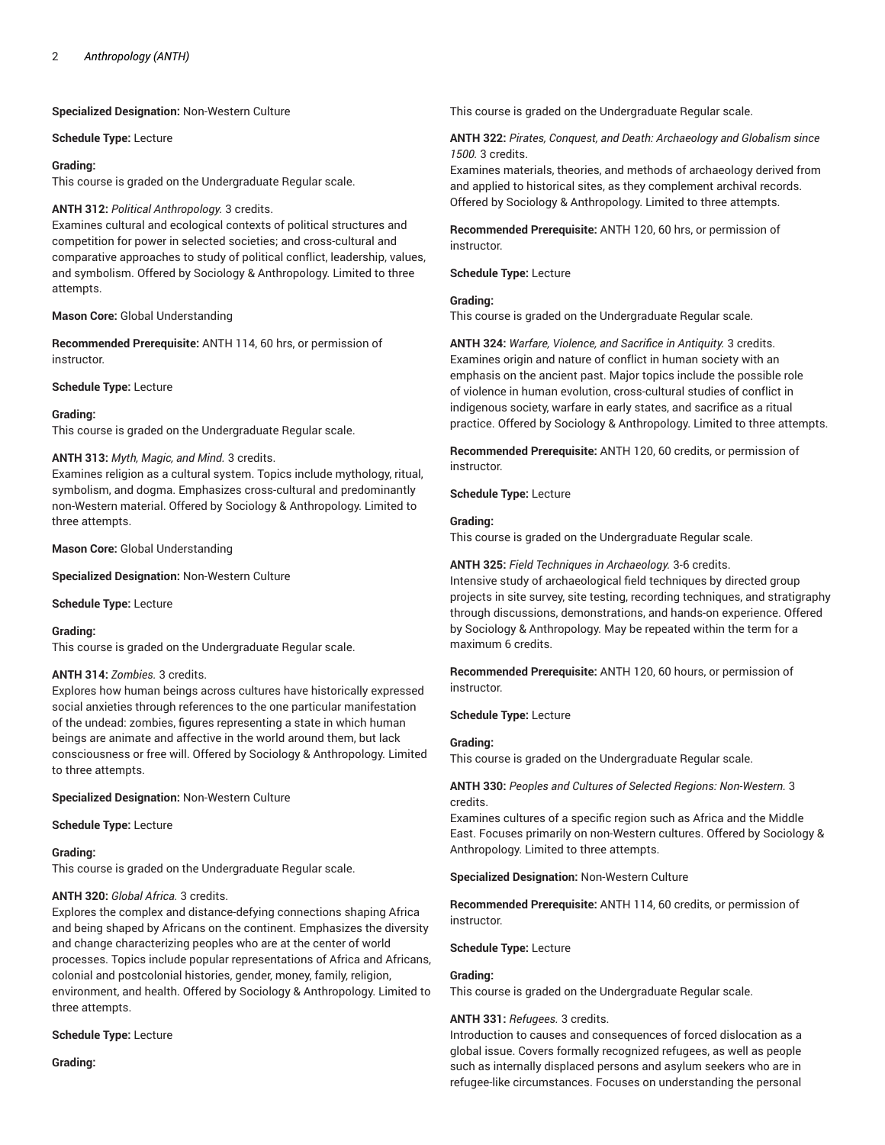**Specialized Designation:** Non-Western Culture

**Schedule Type:** Lecture

# **Grading:**

This course is graded on the Undergraduate Regular scale.

# **ANTH 312:** *Political Anthropology.* 3 credits.

Examines cultural and ecological contexts of political structures and competition for power in selected societies; and cross-cultural and comparative approaches to study of political conflict, leadership, values, and symbolism. Offered by Sociology & Anthropology. Limited to three attempts.

**Mason Core:** Global Understanding

**Recommended Prerequisite:** ANTH 114, 60 hrs, or permission of instructor.

**Schedule Type:** Lecture

# **Grading:**

This course is graded on the Undergraduate Regular scale.

# **ANTH 313:** *Myth, Magic, and Mind.* 3 credits.

Examines religion as a cultural system. Topics include mythology, ritual, symbolism, and dogma. Emphasizes cross-cultural and predominantly non-Western material. Offered by Sociology & Anthropology. Limited to three attempts.

**Mason Core:** Global Understanding

**Specialized Designation:** Non-Western Culture

**Schedule Type:** Lecture

#### **Grading:**

This course is graded on the Undergraduate Regular scale.

# **ANTH 314:** *Zombies.* 3 credits.

Explores how human beings across cultures have historically expressed social anxieties through references to the one particular manifestation of the undead: zombies, figures representing a state in which human beings are animate and affective in the world around them, but lack consciousness or free will. Offered by Sociology & Anthropology. Limited to three attempts.

# **Specialized Designation:** Non-Western Culture

#### **Schedule Type:** Lecture

**Grading:**

This course is graded on the Undergraduate Regular scale.

# **ANTH 320:** *Global Africa.* 3 credits.

Explores the complex and distance-defying connections shaping Africa and being shaped by Africans on the continent. Emphasizes the diversity and change characterizing peoples who are at the center of world processes. Topics include popular representations of Africa and Africans, colonial and postcolonial histories, gender, money, family, religion, environment, and health. Offered by Sociology & Anthropology. Limited to three attempts.

# **Schedule Type:** Lecture

**Grading:**

This course is graded on the Undergraduate Regular scale.

**ANTH 322:** *Pirates, Conquest, and Death: Archaeology and Globalism since 1500.* 3 credits.

Examines materials, theories, and methods of archaeology derived from and applied to historical sites, as they complement archival records. Offered by Sociology & Anthropology. Limited to three attempts.

**Recommended Prerequisite:** ANTH 120, 60 hrs, or permission of instructor.

#### **Schedule Type:** Lecture

# **Grading:**

This course is graded on the Undergraduate Regular scale.

**ANTH 324:** *Warfare, Violence, and Sacrifice in Antiquity.* 3 credits. Examines origin and nature of conflict in human society with an emphasis on the ancient past. Major topics include the possible role of violence in human evolution, cross-cultural studies of conflict in indigenous society, warfare in early states, and sacrifice as a ritual practice. Offered by Sociology & Anthropology. Limited to three attempts.

**Recommended Prerequisite:** ANTH 120, 60 credits, or permission of instructor.

**Schedule Type:** Lecture

#### **Grading:**

This course is graded on the Undergraduate Regular scale.

#### **ANTH 325:** *Field Techniques in Archaeology.* 3-6 credits.

Intensive study of archaeological field techniques by directed group projects in site survey, site testing, recording techniques, and stratigraphy through discussions, demonstrations, and hands-on experience. Offered by Sociology & Anthropology. May be repeated within the term for a maximum 6 credits.

**Recommended Prerequisite:** ANTH 120, 60 hours, or permission of instructor.

**Schedule Type:** Lecture

# **Grading:**

This course is graded on the Undergraduate Regular scale.

# **ANTH 330:** *Peoples and Cultures of Selected Regions: Non-Western.* 3 credits.

Examines cultures of a specific region such as Africa and the Middle East. Focuses primarily on non-Western cultures. Offered by Sociology & Anthropology. Limited to three attempts.

# **Specialized Designation:** Non-Western Culture

**Recommended Prerequisite:** ANTH 114, 60 credits, or permission of instructor.

**Schedule Type:** Lecture

# **Grading:**

This course is graded on the Undergraduate Regular scale.

# **ANTH 331:** *Refugees.* 3 credits.

Introduction to causes and consequences of forced dislocation as a global issue. Covers formally recognized refugees, as well as people such as internally displaced persons and asylum seekers who are in refugee-like circumstances. Focuses on understanding the personal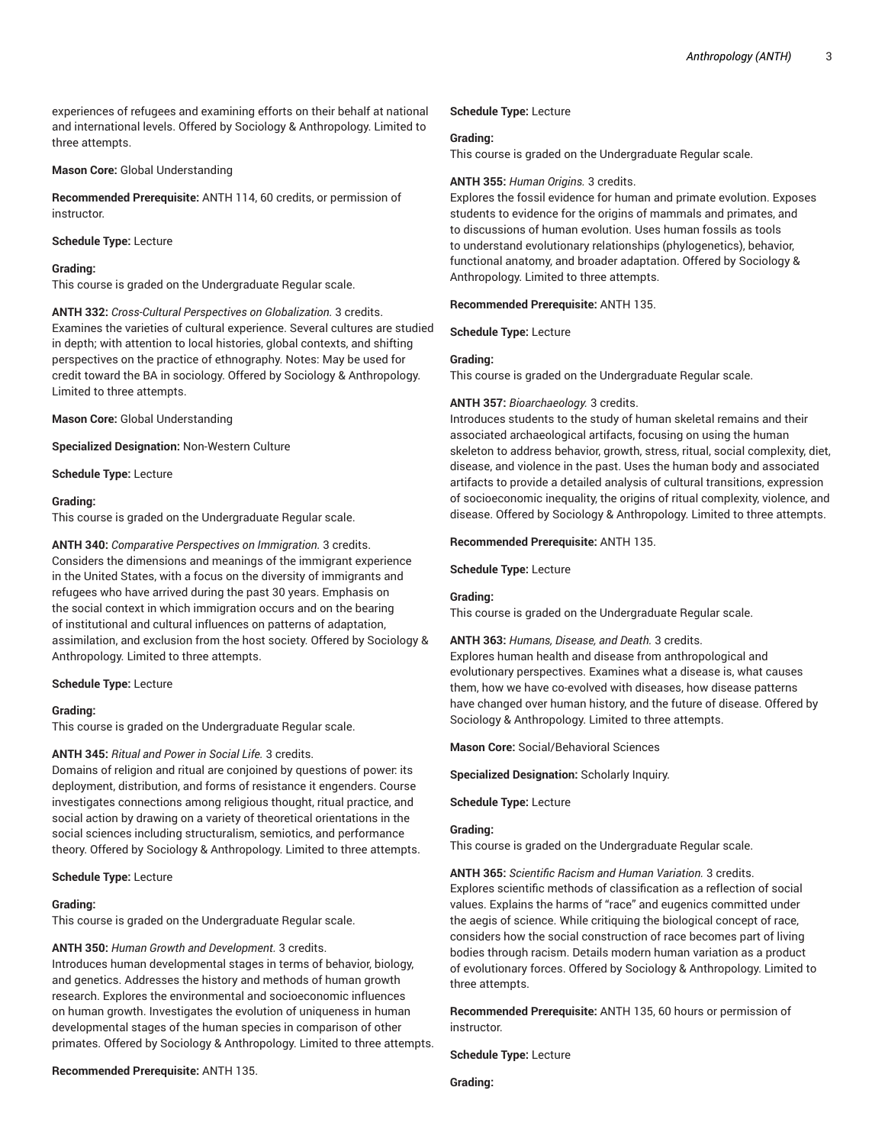experiences of refugees and examining efforts on their behalf at national and international levels. Offered by Sociology & Anthropology. Limited to three attempts.

**Mason Core:** Global Understanding

**Recommended Prerequisite:** ANTH 114, 60 credits, or permission of instructor.

# **Schedule Type:** Lecture

**Grading:**

This course is graded on the Undergraduate Regular scale.

**ANTH 332:** *Cross-Cultural Perspectives on Globalization.* 3 credits. Examines the varieties of cultural experience. Several cultures are studied in depth; with attention to local histories, global contexts, and shifting perspectives on the practice of ethnography. Notes: May be used for credit toward the BA in sociology. Offered by Sociology & Anthropology. Limited to three attempts.

**Mason Core:** Global Understanding

**Specialized Designation:** Non-Western Culture

**Schedule Type:** Lecture

### **Grading:**

This course is graded on the Undergraduate Regular scale.

**ANTH 340:** *Comparative Perspectives on Immigration.* 3 credits. Considers the dimensions and meanings of the immigrant experience in the United States, with a focus on the diversity of immigrants and refugees who have arrived during the past 30 years. Emphasis on the social context in which immigration occurs and on the bearing of institutional and cultural influences on patterns of adaptation, assimilation, and exclusion from the host society. Offered by Sociology & Anthropology. Limited to three attempts.

**Schedule Type:** Lecture

#### **Grading:**

This course is graded on the Undergraduate Regular scale.

# **ANTH 345:** *Ritual and Power in Social Life.* 3 credits.

Domains of religion and ritual are conjoined by questions of power: its deployment, distribution, and forms of resistance it engenders. Course investigates connections among religious thought, ritual practice, and social action by drawing on a variety of theoretical orientations in the social sciences including structuralism, semiotics, and performance theory. Offered by Sociology & Anthropology. Limited to three attempts.

#### **Schedule Type:** Lecture

#### **Grading:**

This course is graded on the Undergraduate Regular scale.

#### **ANTH 350:** *Human Growth and Development.* 3 credits.

Introduces human developmental stages in terms of behavior, biology, and genetics. Addresses the history and methods of human growth research. Explores the environmental and socioeconomic influences on human growth. Investigates the evolution of uniqueness in human developmental stages of the human species in comparison of other primates. Offered by Sociology & Anthropology. Limited to three attempts.

#### **Recommended Prerequisite:** ANTH 135.

# **Schedule Type:** Lecture

#### **Grading:**

This course is graded on the Undergraduate Regular scale.

#### **ANTH 355:** *Human Origins.* 3 credits.

Explores the fossil evidence for human and primate evolution. Exposes students to evidence for the origins of mammals and primates, and to discussions of human evolution. Uses human fossils as tools to understand evolutionary relationships (phylogenetics), behavior, functional anatomy, and broader adaptation. Offered by Sociology & Anthropology. Limited to three attempts.

#### **Recommended Prerequisite:** ANTH 135.

**Schedule Type:** Lecture

#### **Grading:**

This course is graded on the Undergraduate Regular scale.

#### **ANTH 357:** *Bioarchaeology.* 3 credits.

Introduces students to the study of human skeletal remains and their associated archaeological artifacts, focusing on using the human skeleton to address behavior, growth, stress, ritual, social complexity, diet, disease, and violence in the past. Uses the human body and associated artifacts to provide a detailed analysis of cultural transitions, expression of socioeconomic inequality, the origins of ritual complexity, violence, and disease. Offered by Sociology & Anthropology. Limited to three attempts.

#### **Recommended Prerequisite:** ANTH 135.

**Schedule Type:** Lecture

# **Grading:**

This course is graded on the Undergraduate Regular scale.

#### **ANTH 363:** *Humans, Disease, and Death.* 3 credits.

Explores human health and disease from anthropological and evolutionary perspectives. Examines what a disease is, what causes them, how we have co-evolved with diseases, how disease patterns have changed over human history, and the future of disease. Offered by Sociology & Anthropology. Limited to three attempts.

**Mason Core:** Social/Behavioral Sciences

**Specialized Designation:** Scholarly Inquiry.

**Schedule Type:** Lecture

# **Grading:**

This course is graded on the Undergraduate Regular scale.

**ANTH 365:** *Scientific Racism and Human Variation.* 3 credits. Explores scientific methods of classification as a reflection of social values. Explains the harms of "race" and eugenics committed under the aegis of science. While critiquing the biological concept of race, considers how the social construction of race becomes part of living bodies through racism. Details modern human variation as a product of evolutionary forces. Offered by Sociology & Anthropology. Limited to three attempts.

**Recommended Prerequisite:** ANTH 135, 60 hours or permission of instructor.

**Schedule Type:** Lecture

**Grading:**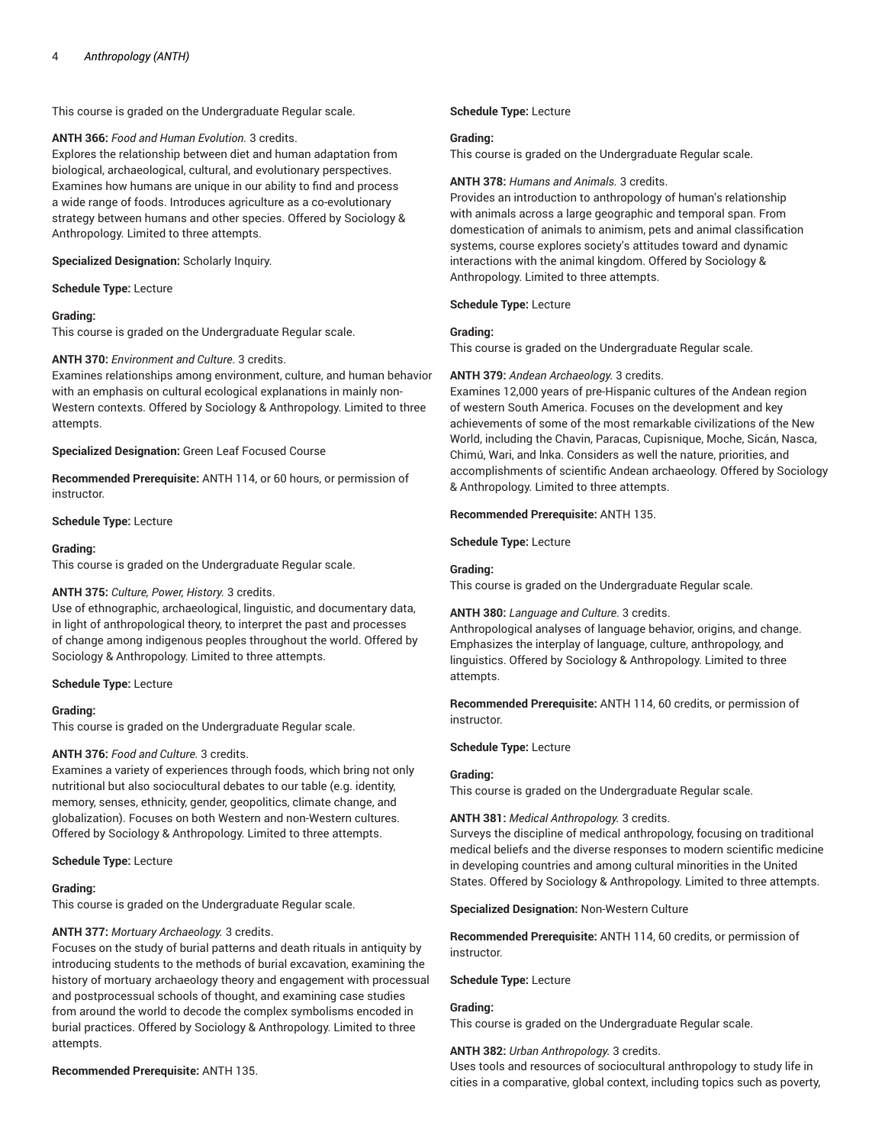This course is graded on the Undergraduate Regular scale.

#### **ANTH 366:** *Food and Human Evolution.* 3 credits.

Explores the relationship between diet and human adaptation from biological, archaeological, cultural, and evolutionary perspectives. Examines how humans are unique in our ability to find and process a wide range of foods. Introduces agriculture as a co-evolutionary strategy between humans and other species. Offered by Sociology & Anthropology. Limited to three attempts.

#### **Specialized Designation:** Scholarly Inquiry.

**Schedule Type:** Lecture

#### **Grading:**

This course is graded on the Undergraduate Regular scale.

# **ANTH 370:** *Environment and Culture.* 3 credits.

Examines relationships among environment, culture, and human behavior with an emphasis on cultural ecological explanations in mainly non-Western contexts. Offered by Sociology & Anthropology. Limited to three attempts.

**Specialized Designation:** Green Leaf Focused Course

**Recommended Prerequisite:** ANTH 114, or 60 hours, or permission of instructor.

#### **Schedule Type:** Lecture

#### **Grading:**

This course is graded on the Undergraduate Regular scale.

# **ANTH 375:** *Culture, Power, History.* 3 credits.

Use of ethnographic, archaeological, linguistic, and documentary data, in light of anthropological theory, to interpret the past and processes of change among indigenous peoples throughout the world. Offered by Sociology & Anthropology. Limited to three attempts.

#### **Schedule Type:** Lecture

#### **Grading:**

This course is graded on the Undergraduate Regular scale.

# **ANTH 376:** *Food and Culture.* 3 credits.

Examines a variety of experiences through foods, which bring not only nutritional but also sociocultural debates to our table (e.g. identity, memory, senses, ethnicity, gender, geopolitics, climate change, and globalization). Focuses on both Western and non-Western cultures. Offered by Sociology & Anthropology. Limited to three attempts.

#### **Schedule Type:** Lecture

#### **Grading:**

This course is graded on the Undergraduate Regular scale.

# **ANTH 377:** *Mortuary Archaeology.* 3 credits.

Focuses on the study of burial patterns and death rituals in antiquity by introducing students to the methods of burial excavation, examining the history of mortuary archaeology theory and engagement with processual and postprocessual schools of thought, and examining case studies from around the world to decode the complex symbolisms encoded in burial practices. Offered by Sociology & Anthropology. Limited to three attempts.

# **Recommended Prerequisite:** ANTH 135.

#### **Schedule Type:** Lecture

#### **Grading:**

This course is graded on the Undergraduate Regular scale.

#### **ANTH 378:** *Humans and Animals.* 3 credits.

Provides an introduction to anthropology of human's relationship with animals across a large geographic and temporal span. From domestication of animals to animism, pets and animal classification systems, course explores society's attitudes toward and dynamic interactions with the animal kingdom. Offered by Sociology & Anthropology. Limited to three attempts.

#### **Schedule Type:** Lecture

# **Grading:**

This course is graded on the Undergraduate Regular scale.

## **ANTH 379:** *Andean Archaeology.* 3 credits.

Examines 12,000 years of pre-Hispanic cultures of the Andean region of western South America. Focuses on the development and key achievements of some of the most remarkable civilizations of the New World, including the Chavin, Paracas, Cupisnique, Moche, Sicán, Nasca, Chimú, Wari, and lnka. Considers as well the nature, priorities, and accomplishments of scientific Andean archaeology. Offered by Sociology & Anthropology. Limited to three attempts.

#### **Recommended Prerequisite:** ANTH 135.

**Schedule Type:** Lecture

#### **Grading:**

This course is graded on the Undergraduate Regular scale.

# **ANTH 380:** *Language and Culture.* 3 credits.

Anthropological analyses of language behavior, origins, and change. Emphasizes the interplay of language, culture, anthropology, and linguistics. Offered by Sociology & Anthropology. Limited to three attempts.

**Recommended Prerequisite:** ANTH 114, 60 credits, or permission of instructor.

#### **Schedule Type:** Lecture

#### **Grading:**

This course is graded on the Undergraduate Regular scale.

# **ANTH 381:** *Medical Anthropology.* 3 credits.

Surveys the discipline of medical anthropology, focusing on traditional medical beliefs and the diverse responses to modern scientific medicine in developing countries and among cultural minorities in the United States. Offered by Sociology & Anthropology. Limited to three attempts.

#### **Specialized Designation:** Non-Western Culture

**Recommended Prerequisite:** ANTH 114, 60 credits, or permission of instructor.

#### **Schedule Type:** Lecture

# **Grading:**

This course is graded on the Undergraduate Regular scale.

#### **ANTH 382:** *Urban Anthropology.* 3 credits.

Uses tools and resources of sociocultural anthropology to study life in cities in a comparative, global context, including topics such as poverty,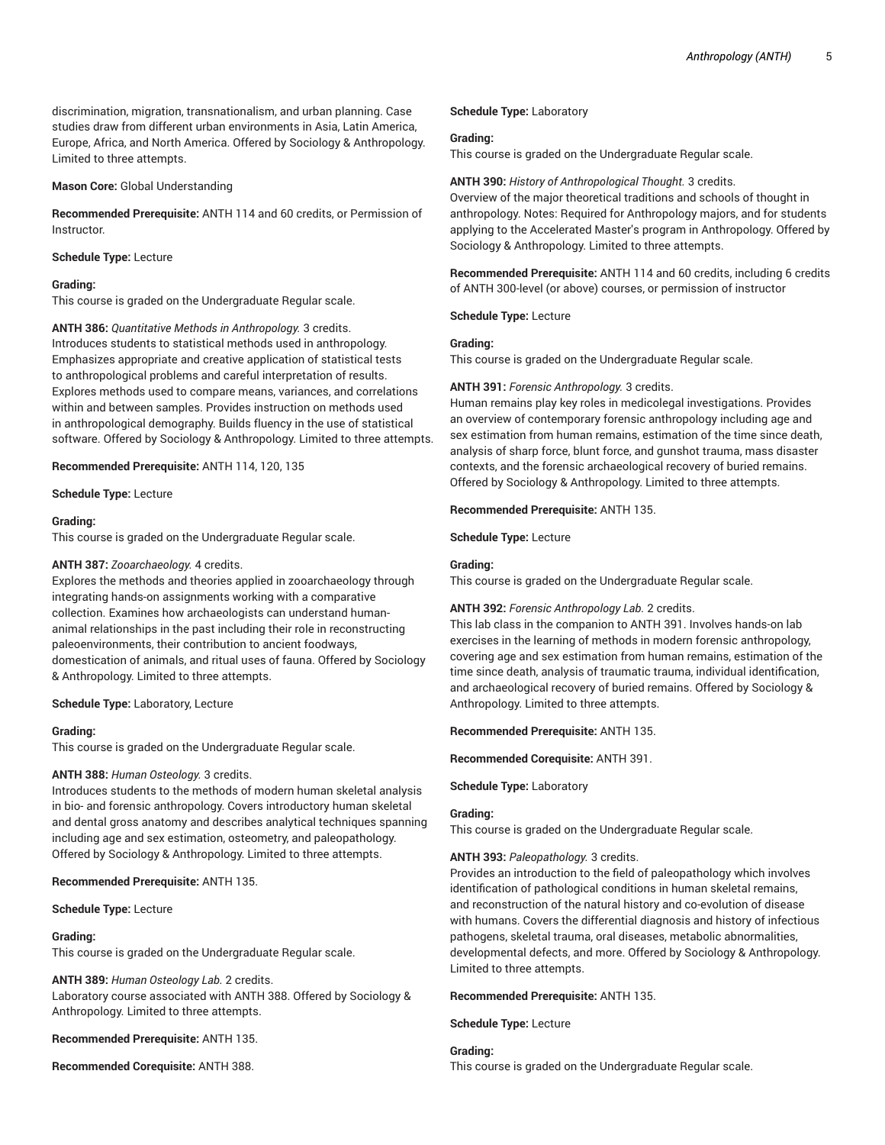discrimination, migration, transnationalism, and urban planning. Case studies draw from different urban environments in Asia, Latin America, Europe, Africa, and North America. Offered by Sociology & Anthropology. Limited to three attempts.

# **Mason Core:** Global Understanding

**Recommended Prerequisite:** ANTH 114 and 60 credits, or Permission of Instructor.

# **Schedule Type:** Lecture

# **Grading:**

This course is graded on the Undergraduate Regular scale.

**ANTH 386:** *Quantitative Methods in Anthropology.* 3 credits. Introduces students to statistical methods used in anthropology. Emphasizes appropriate and creative application of statistical tests to anthropological problems and careful interpretation of results. Explores methods used to compare means, variances, and correlations within and between samples. Provides instruction on methods used in anthropological demography. Builds fluency in the use of statistical software. Offered by Sociology & Anthropology. Limited to three attempts.

**Recommended Prerequisite:** ANTH 114, 120, 135

**Schedule Type:** Lecture

# **Grading:**

This course is graded on the Undergraduate Regular scale.

# **ANTH 387:** *Zooarchaeology.* 4 credits.

Explores the methods and theories applied in zooarchaeology through integrating hands-on assignments working with a comparative collection. Examines how archaeologists can understand humananimal relationships in the past including their role in reconstructing paleoenvironments, their contribution to ancient foodways, domestication of animals, and ritual uses of fauna. Offered by Sociology & Anthropology. Limited to three attempts.

# **Schedule Type:** Laboratory, Lecture

# **Grading:**

This course is graded on the Undergraduate Regular scale.

# **ANTH 388:** *Human Osteology.* 3 credits.

Introduces students to the methods of modern human skeletal analysis in bio- and forensic anthropology. Covers introductory human skeletal and dental gross anatomy and describes analytical techniques spanning including age and sex estimation, osteometry, and paleopathology. Offered by Sociology & Anthropology. Limited to three attempts.

**Recommended Prerequisite:** ANTH 135.

**Schedule Type:** Lecture

# **Grading:**

This course is graded on the Undergraduate Regular scale.

**ANTH 389:** *Human Osteology Lab.* 2 credits. Laboratory course associated with ANTH 388. Offered by Sociology & Anthropology. Limited to three attempts.

**Recommended Prerequisite:** ANTH 135.

**Recommended Corequisite:** ANTH 388.

# **Schedule Type:** Laboratory

# **Grading:**

This course is graded on the Undergraduate Regular scale.

# **ANTH 390:** *History of Anthropological Thought.* 3 credits.

Overview of the major theoretical traditions and schools of thought in anthropology. Notes: Required for Anthropology majors, and for students applying to the Accelerated Master's program in Anthropology. Offered by Sociology & Anthropology. Limited to three attempts.

**Recommended Prerequisite:** ANTH 114 and 60 credits, including 6 credits of ANTH 300-level (or above) courses, or permission of instructor

**Schedule Type:** Lecture

# **Grading:**

This course is graded on the Undergraduate Regular scale.

# **ANTH 391:** *Forensic Anthropology.* 3 credits.

Human remains play key roles in medicolegal investigations. Provides an overview of contemporary forensic anthropology including age and sex estimation from human remains, estimation of the time since death, analysis of sharp force, blunt force, and gunshot trauma, mass disaster contexts, and the forensic archaeological recovery of buried remains. Offered by Sociology & Anthropology. Limited to three attempts.

**Recommended Prerequisite:** ANTH 135.

**Schedule Type:** Lecture

# **Grading:**

This course is graded on the Undergraduate Regular scale.

# **ANTH 392:** *Forensic Anthropology Lab.* 2 credits.

This lab class in the companion to ANTH 391. Involves hands-on lab exercises in the learning of methods in modern forensic anthropology, covering age and sex estimation from human remains, estimation of the time since death, analysis of traumatic trauma, individual identification, and archaeological recovery of buried remains. Offered by Sociology & Anthropology. Limited to three attempts.

**Recommended Prerequisite:** ANTH 135.

**Recommended Corequisite:** ANTH 391.

**Schedule Type:** Laboratory

# **Grading:**

This course is graded on the Undergraduate Regular scale.

# **ANTH 393:** *Paleopathology.* 3 credits.

Provides an introduction to the field of paleopathology which involves identification of pathological conditions in human skeletal remains, and reconstruction of the natural history and co-evolution of disease with humans. Covers the differential diagnosis and history of infectious pathogens, skeletal trauma, oral diseases, metabolic abnormalities, developmental defects, and more. Offered by Sociology & Anthropology. Limited to three attempts.

**Recommended Prerequisite:** ANTH 135.

**Schedule Type:** Lecture

# **Grading:**

This course is graded on the Undergraduate Regular scale.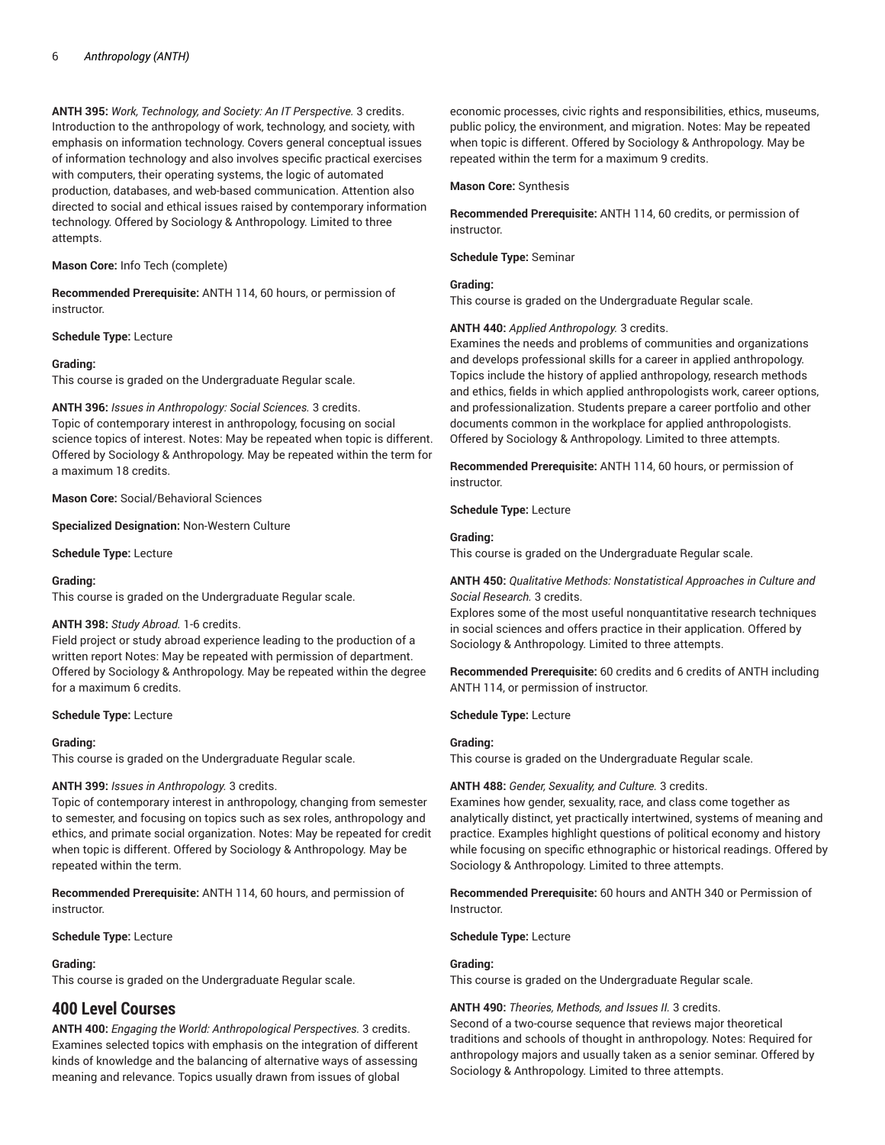**ANTH 395:** *Work, Technology, and Society: An IT Perspective.* 3 credits. Introduction to the anthropology of work, technology, and society, with emphasis on information technology. Covers general conceptual issues of information technology and also involves specific practical exercises with computers, their operating systems, the logic of automated production, databases, and web-based communication. Attention also directed to social and ethical issues raised by contemporary information technology. Offered by Sociology & Anthropology. Limited to three attempts.

**Mason Core:** Info Tech (complete)

**Recommended Prerequisite:** ANTH 114, 60 hours, or permission of instructor.

**Schedule Type:** Lecture

#### **Grading:**

This course is graded on the Undergraduate Regular scale.

**ANTH 396:** *Issues in Anthropology: Social Sciences.* 3 credits. Topic of contemporary interest in anthropology, focusing on social science topics of interest. Notes: May be repeated when topic is different. Offered by Sociology & Anthropology. May be repeated within the term for a maximum 18 credits.

**Mason Core:** Social/Behavioral Sciences

**Specialized Designation:** Non-Western Culture

**Schedule Type:** Lecture

#### **Grading:**

This course is graded on the Undergraduate Regular scale.

#### **ANTH 398:** *Study Abroad.* 1-6 credits.

Field project or study abroad experience leading to the production of a written report Notes: May be repeated with permission of department. Offered by Sociology & Anthropology. May be repeated within the degree for a maximum 6 credits.

#### **Schedule Type:** Lecture

#### **Grading:**

This course is graded on the Undergraduate Regular scale.

#### **ANTH 399:** *Issues in Anthropology.* 3 credits.

Topic of contemporary interest in anthropology, changing from semester to semester, and focusing on topics such as sex roles, anthropology and ethics, and primate social organization. Notes: May be repeated for credit when topic is different. Offered by Sociology & Anthropology. May be repeated within the term.

**Recommended Prerequisite:** ANTH 114, 60 hours, and permission of instructor.

**Schedule Type:** Lecture

#### **Grading:**

This course is graded on the Undergraduate Regular scale.

# **400 Level Courses**

**ANTH 400:** *Engaging the World: Anthropological Perspectives.* 3 credits. Examines selected topics with emphasis on the integration of different kinds of knowledge and the balancing of alternative ways of assessing meaning and relevance. Topics usually drawn from issues of global

economic processes, civic rights and responsibilities, ethics, museums, public policy, the environment, and migration. Notes: May be repeated when topic is different. Offered by Sociology & Anthropology. May be repeated within the term for a maximum 9 credits.

#### **Mason Core:** Synthesis

**Recommended Prerequisite:** ANTH 114, 60 credits, or permission of instructor.

**Schedule Type:** Seminar

# **Grading:**

This course is graded on the Undergraduate Regular scale.

#### **ANTH 440:** *Applied Anthropology.* 3 credits.

Examines the needs and problems of communities and organizations and develops professional skills for a career in applied anthropology. Topics include the history of applied anthropology, research methods and ethics, fields in which applied anthropologists work, career options, and professionalization. Students prepare a career portfolio and other documents common in the workplace for applied anthropologists. Offered by Sociology & Anthropology. Limited to three attempts.

**Recommended Prerequisite:** ANTH 114, 60 hours, or permission of instructor.

**Schedule Type:** Lecture

#### **Grading:**

This course is graded on the Undergraduate Regular scale.

# **ANTH 450:** *Qualitative Methods: Nonstatistical Approaches in Culture and Social Research.* 3 credits.

Explores some of the most useful nonquantitative research techniques in social sciences and offers practice in their application. Offered by Sociology & Anthropology. Limited to three attempts.

**Recommended Prerequisite:** 60 credits and 6 credits of ANTH including ANTH 114, or permission of instructor.

# **Schedule Type:** Lecture

#### **Grading:**

This course is graded on the Undergraduate Regular scale.

#### **ANTH 488:** *Gender, Sexuality, and Culture.* 3 credits.

Examines how gender, sexuality, race, and class come together as analytically distinct, yet practically intertwined, systems of meaning and practice. Examples highlight questions of political economy and history while focusing on specific ethnographic or historical readings. Offered by Sociology & Anthropology. Limited to three attempts.

**Recommended Prerequisite:** 60 hours and ANTH 340 or Permission of Instructor.

#### **Schedule Type:** Lecture

#### **Grading:**

This course is graded on the Undergraduate Regular scale.

#### **ANTH 490:** *Theories, Methods, and Issues II.* 3 credits.

Second of a two-course sequence that reviews major theoretical traditions and schools of thought in anthropology. Notes: Required for anthropology majors and usually taken as a senior seminar. Offered by Sociology & Anthropology. Limited to three attempts.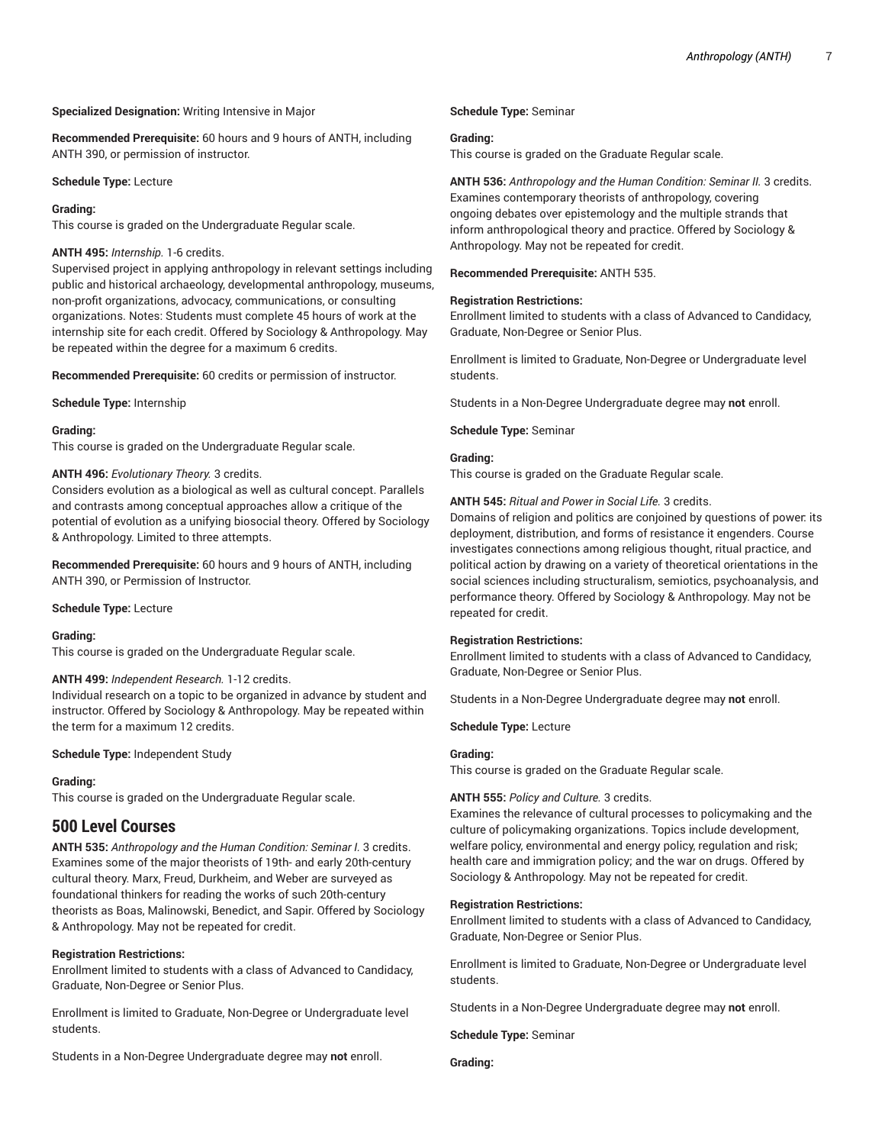# **Specialized Designation:** Writing Intensive in Major

**Recommended Prerequisite:** 60 hours and 9 hours of ANTH, including ANTH 390, or permission of instructor.

#### **Schedule Type:** Lecture

# **Grading:**

This course is graded on the Undergraduate Regular scale.

# **ANTH 495:** *Internship.* 1-6 credits.

Supervised project in applying anthropology in relevant settings including public and historical archaeology, developmental anthropology, museums, non-profit organizations, advocacy, communications, or consulting organizations. Notes: Students must complete 45 hours of work at the internship site for each credit. Offered by Sociology & Anthropology. May be repeated within the degree for a maximum 6 credits.

**Recommended Prerequisite:** 60 credits or permission of instructor.

**Schedule Type:** Internship

#### **Grading:**

This course is graded on the Undergraduate Regular scale.

#### **ANTH 496:** *Evolutionary Theory.* 3 credits.

Considers evolution as a biological as well as cultural concept. Parallels and contrasts among conceptual approaches allow a critique of the potential of evolution as a unifying biosocial theory. Offered by Sociology & Anthropology. Limited to three attempts.

**Recommended Prerequisite:** 60 hours and 9 hours of ANTH, including ANTH 390, or Permission of Instructor.

#### **Schedule Type:** Lecture

#### **Grading:**

This course is graded on the Undergraduate Regular scale.

# **ANTH 499:** *Independent Research.* 1-12 credits.

Individual research on a topic to be organized in advance by student and instructor. Offered by Sociology & Anthropology. May be repeated within the term for a maximum 12 credits.

#### **Schedule Type:** Independent Study

# **Grading:**

This course is graded on the Undergraduate Regular scale.

# **500 Level Courses**

**ANTH 535:** *Anthropology and the Human Condition: Seminar I.* 3 credits. Examines some of the major theorists of 19th- and early 20th-century cultural theory. Marx, Freud, Durkheim, and Weber are surveyed as foundational thinkers for reading the works of such 20th-century theorists as Boas, Malinowski, Benedict, and Sapir. Offered by Sociology & Anthropology. May not be repeated for credit.

# **Registration Restrictions:**

Enrollment limited to students with a class of Advanced to Candidacy, Graduate, Non-Degree or Senior Plus.

Enrollment is limited to Graduate, Non-Degree or Undergraduate level students.

Students in a Non-Degree Undergraduate degree may **not** enroll.

# **Schedule Type:** Seminar

# **Grading:**

This course is graded on the Graduate Regular scale.

**ANTH 536:** *Anthropology and the Human Condition: Seminar II.* 3 credits. Examines contemporary theorists of anthropology, covering ongoing debates over epistemology and the multiple strands that inform anthropological theory and practice. Offered by Sociology & Anthropology. May not be repeated for credit.

**Recommended Prerequisite:** ANTH 535.

#### **Registration Restrictions:**

Enrollment limited to students with a class of Advanced to Candidacy, Graduate, Non-Degree or Senior Plus.

Enrollment is limited to Graduate, Non-Degree or Undergraduate level students.

Students in a Non-Degree Undergraduate degree may **not** enroll.

**Schedule Type:** Seminar

# **Grading:**

This course is graded on the Graduate Regular scale.

# **ANTH 545:** *Ritual and Power in Social Life.* 3 credits.

Domains of religion and politics are conjoined by questions of power: its deployment, distribution, and forms of resistance it engenders. Course investigates connections among religious thought, ritual practice, and political action by drawing on a variety of theoretical orientations in the social sciences including structuralism, semiotics, psychoanalysis, and performance theory. Offered by Sociology & Anthropology. May not be repeated for credit.

# **Registration Restrictions:**

Enrollment limited to students with a class of Advanced to Candidacy, Graduate, Non-Degree or Senior Plus.

Students in a Non-Degree Undergraduate degree may **not** enroll.

**Schedule Type:** Lecture

#### **Grading:**

This course is graded on the Graduate Regular scale.

# **ANTH 555:** *Policy and Culture.* 3 credits.

Examines the relevance of cultural processes to policymaking and the culture of policymaking organizations. Topics include development, welfare policy, environmental and energy policy, regulation and risk; health care and immigration policy; and the war on drugs. Offered by Sociology & Anthropology. May not be repeated for credit.

# **Registration Restrictions:**

Enrollment limited to students with a class of Advanced to Candidacy, Graduate, Non-Degree or Senior Plus.

Enrollment is limited to Graduate, Non-Degree or Undergraduate level students.

Students in a Non-Degree Undergraduate degree may **not** enroll.

**Schedule Type:** Seminar

**Grading:**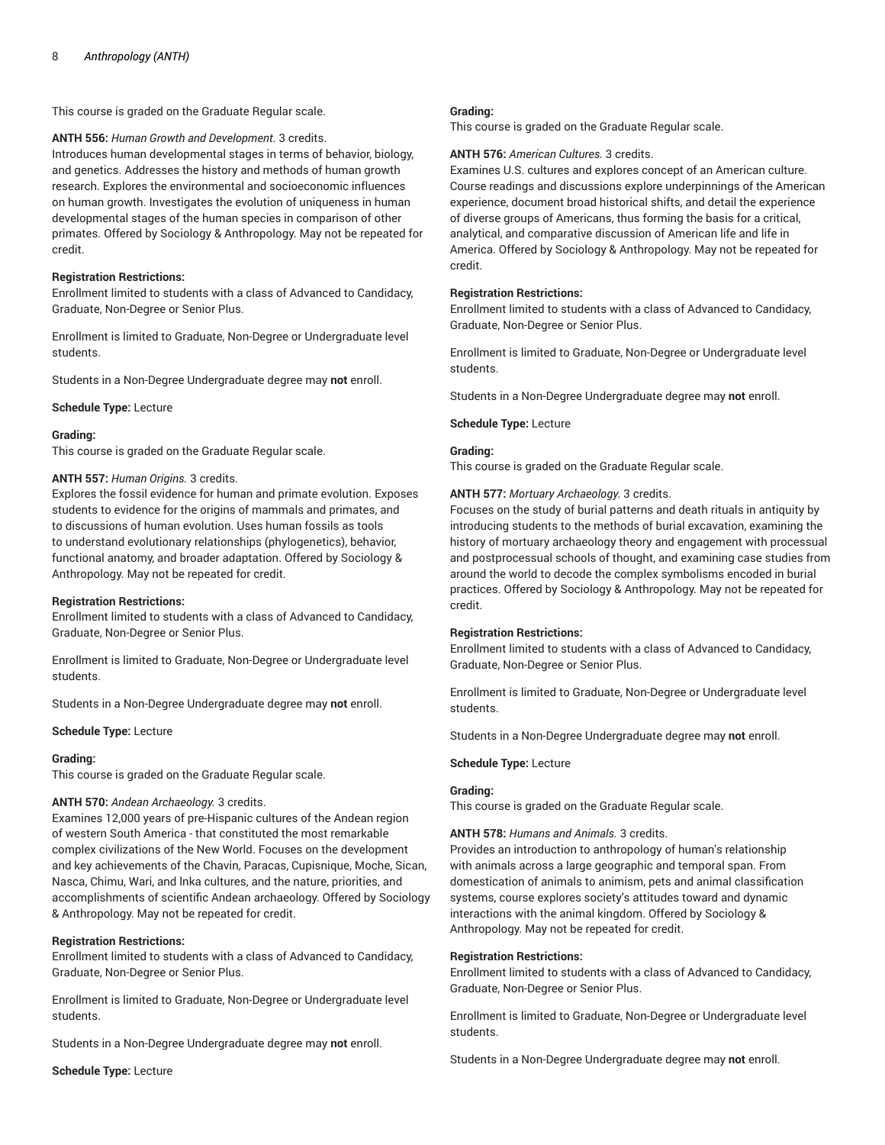This course is graded on the Graduate Regular scale.

**ANTH 556:** *Human Growth and Development.* 3 credits. Introduces human developmental stages in terms of behavior, biology, and genetics. Addresses the history and methods of human growth research. Explores the environmental and socioeconomic influences on human growth. Investigates the evolution of uniqueness in human developmental stages of the human species in comparison of other primates. Offered by Sociology & Anthropology. May not be repeated for credit.

#### **Registration Restrictions:**

Enrollment limited to students with a class of Advanced to Candidacy, Graduate, Non-Degree or Senior Plus.

Enrollment is limited to Graduate, Non-Degree or Undergraduate level students.

Students in a Non-Degree Undergraduate degree may **not** enroll.

**Schedule Type:** Lecture

#### **Grading:**

This course is graded on the Graduate Regular scale.

#### **ANTH 557:** *Human Origins.* 3 credits.

Explores the fossil evidence for human and primate evolution. Exposes students to evidence for the origins of mammals and primates, and to discussions of human evolution. Uses human fossils as tools to understand evolutionary relationships (phylogenetics), behavior, functional anatomy, and broader adaptation. Offered by Sociology & Anthropology. May not be repeated for credit.

#### **Registration Restrictions:**

Enrollment limited to students with a class of Advanced to Candidacy, Graduate, Non-Degree or Senior Plus.

Enrollment is limited to Graduate, Non-Degree or Undergraduate level students.

Students in a Non-Degree Undergraduate degree may **not** enroll.

**Schedule Type:** Lecture

#### **Grading:**

This course is graded on the Graduate Regular scale.

#### **ANTH 570:** *Andean Archaeology.* 3 credits.

Examines 12,000 years of pre-Hispanic cultures of the Andean region of western South America - that constituted the most remarkable complex civilizations of the New World. Focuses on the development and key achievements of the Chavin, Paracas, Cupisnique, Moche, Sican, Nasca, Chimu, Wari, and lnka cultures, and the nature, priorities, and accomplishments of scientific Andean archaeology. Offered by Sociology & Anthropology. May not be repeated for credit.

#### **Registration Restrictions:**

Enrollment limited to students with a class of Advanced to Candidacy, Graduate, Non-Degree or Senior Plus.

Enrollment is limited to Graduate, Non-Degree or Undergraduate level students.

Students in a Non-Degree Undergraduate degree may **not** enroll.

**Schedule Type:** Lecture

#### **Grading:**

This course is graded on the Graduate Regular scale.

#### **ANTH 576:** *American Cultures.* 3 credits.

Examines U.S. cultures and explores concept of an American culture. Course readings and discussions explore underpinnings of the American experience, document broad historical shifts, and detail the experience of diverse groups of Americans, thus forming the basis for a critical, analytical, and comparative discussion of American life and life in America. Offered by Sociology & Anthropology. May not be repeated for credit.

#### **Registration Restrictions:**

Enrollment limited to students with a class of Advanced to Candidacy, Graduate, Non-Degree or Senior Plus.

Enrollment is limited to Graduate, Non-Degree or Undergraduate level students.

Students in a Non-Degree Undergraduate degree may **not** enroll.

#### **Schedule Type:** Lecture

# **Grading:**

This course is graded on the Graduate Regular scale.

#### **ANTH 577:** *Mortuary Archaeology.* 3 credits.

Focuses on the study of burial patterns and death rituals in antiquity by introducing students to the methods of burial excavation, examining the history of mortuary archaeology theory and engagement with processual and postprocessual schools of thought, and examining case studies from around the world to decode the complex symbolisms encoded in burial practices. Offered by Sociology & Anthropology. May not be repeated for credit.

#### **Registration Restrictions:**

Enrollment limited to students with a class of Advanced to Candidacy, Graduate, Non-Degree or Senior Plus.

Enrollment is limited to Graduate, Non-Degree or Undergraduate level students.

Students in a Non-Degree Undergraduate degree may **not** enroll.

# **Schedule Type:** Lecture

#### **Grading:**

This course is graded on the Graduate Regular scale.

# **ANTH 578:** *Humans and Animals.* 3 credits.

Provides an introduction to anthropology of human's relationship with animals across a large geographic and temporal span. From domestication of animals to animism, pets and animal classification systems, course explores society's attitudes toward and dynamic interactions with the animal kingdom. Offered by Sociology & Anthropology. May not be repeated for credit.

#### **Registration Restrictions:**

Enrollment limited to students with a class of Advanced to Candidacy, Graduate, Non-Degree or Senior Plus.

Enrollment is limited to Graduate, Non-Degree or Undergraduate level students.

Students in a Non-Degree Undergraduate degree may **not** enroll.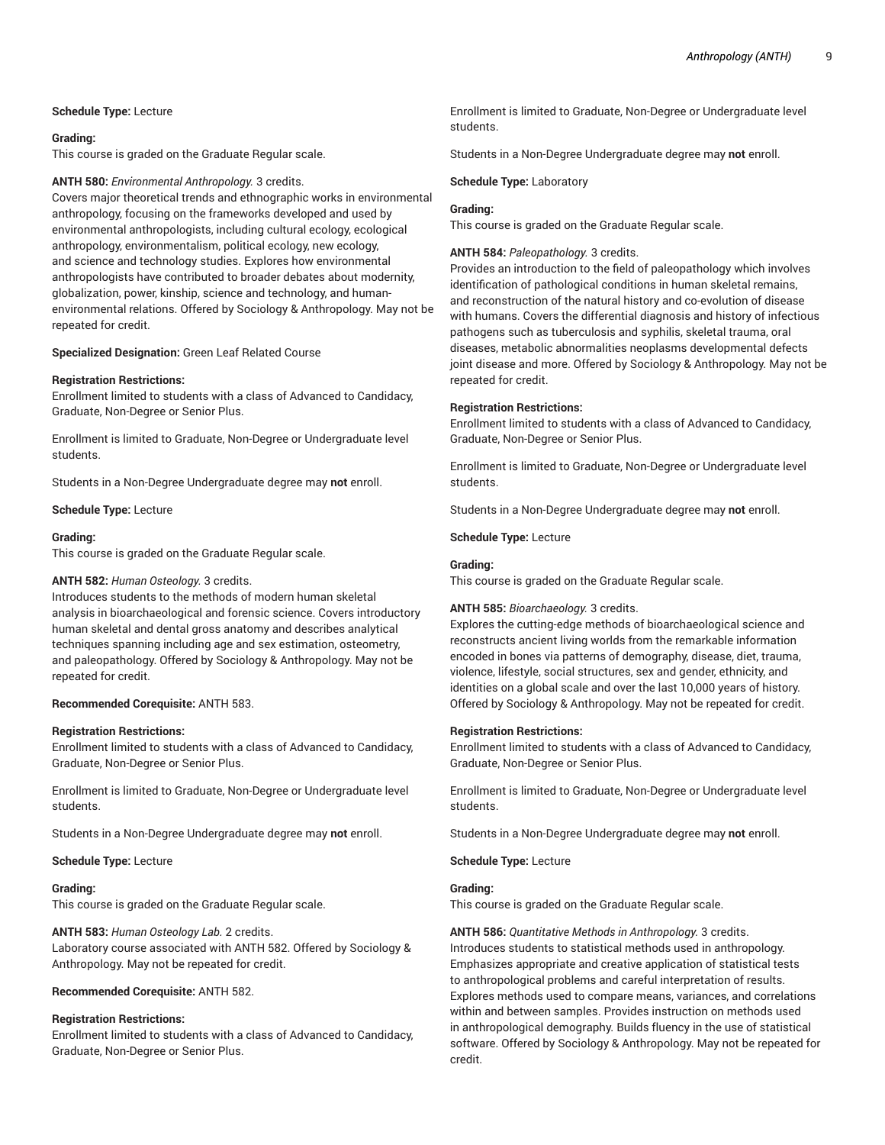#### **Schedule Type:** Lecture

#### **Grading:**

This course is graded on the Graduate Regular scale.

#### **ANTH 580:** *Environmental Anthropology.* 3 credits.

Covers major theoretical trends and ethnographic works in environmental anthropology, focusing on the frameworks developed and used by environmental anthropologists, including cultural ecology, ecological anthropology, environmentalism, political ecology, new ecology, and science and technology studies. Explores how environmental anthropologists have contributed to broader debates about modernity, globalization, power, kinship, science and technology, and humanenvironmental relations. Offered by Sociology & Anthropology. May not be repeated for credit.

#### **Specialized Designation:** Green Leaf Related Course

#### **Registration Restrictions:**

Enrollment limited to students with a class of Advanced to Candidacy, Graduate, Non-Degree or Senior Plus.

Enrollment is limited to Graduate, Non-Degree or Undergraduate level students.

Students in a Non-Degree Undergraduate degree may **not** enroll.

**Schedule Type:** Lecture

#### **Grading:**

This course is graded on the Graduate Regular scale.

#### **ANTH 582:** *Human Osteology.* 3 credits.

Introduces students to the methods of modern human skeletal analysis in bioarchaeological and forensic science. Covers introductory human skeletal and dental gross anatomy and describes analytical techniques spanning including age and sex estimation, osteometry, and paleopathology. Offered by Sociology & Anthropology. May not be repeated for credit.

#### **Recommended Corequisite:** ANTH 583.

#### **Registration Restrictions:**

Enrollment limited to students with a class of Advanced to Candidacy, Graduate, Non-Degree or Senior Plus.

Enrollment is limited to Graduate, Non-Degree or Undergraduate level students.

Students in a Non-Degree Undergraduate degree may **not** enroll.

**Schedule Type:** Lecture

# **Grading:**

This course is graded on the Graduate Regular scale.

**ANTH 583:** *Human Osteology Lab.* 2 credits. Laboratory course associated with ANTH 582. Offered by Sociology & Anthropology. May not be repeated for credit.

**Recommended Corequisite:** ANTH 582.

#### **Registration Restrictions:**

Enrollment limited to students with a class of Advanced to Candidacy, Graduate, Non-Degree or Senior Plus.

Enrollment is limited to Graduate, Non-Degree or Undergraduate level students.

Students in a Non-Degree Undergraduate degree may **not** enroll.

**Schedule Type:** Laboratory

#### **Grading:**

This course is graded on the Graduate Regular scale.

# **ANTH 584:** *Paleopathology.* 3 credits.

Provides an introduction to the field of paleopathology which involves identification of pathological conditions in human skeletal remains, and reconstruction of the natural history and co-evolution of disease with humans. Covers the differential diagnosis and history of infectious pathogens such as tuberculosis and syphilis, skeletal trauma, oral diseases, metabolic abnormalities neoplasms developmental defects joint disease and more. Offered by Sociology & Anthropology. May not be repeated for credit.

#### **Registration Restrictions:**

Enrollment limited to students with a class of Advanced to Candidacy, Graduate, Non-Degree or Senior Plus.

Enrollment is limited to Graduate, Non-Degree or Undergraduate level students.

Students in a Non-Degree Undergraduate degree may **not** enroll.

**Schedule Type:** Lecture

#### **Grading:**

This course is graded on the Graduate Regular scale.

# **ANTH 585:** *Bioarchaeology.* 3 credits.

Explores the cutting-edge methods of bioarchaeological science and reconstructs ancient living worlds from the remarkable information encoded in bones via patterns of demography, disease, diet, trauma, violence, lifestyle, social structures, sex and gender, ethnicity, and identities on a global scale and over the last 10,000 years of history. Offered by Sociology & Anthropology. May not be repeated for credit.

#### **Registration Restrictions:**

Enrollment limited to students with a class of Advanced to Candidacy, Graduate, Non-Degree or Senior Plus.

Enrollment is limited to Graduate, Non-Degree or Undergraduate level students.

Students in a Non-Degree Undergraduate degree may **not** enroll.

**Schedule Type:** Lecture

# **Grading:**

This course is graded on the Graduate Regular scale.

**ANTH 586:** *Quantitative Methods in Anthropology.* 3 credits. Introduces students to statistical methods used in anthropology. Emphasizes appropriate and creative application of statistical tests to anthropological problems and careful interpretation of results. Explores methods used to compare means, variances, and correlations within and between samples. Provides instruction on methods used in anthropological demography. Builds fluency in the use of statistical software. Offered by Sociology & Anthropology. May not be repeated for credit.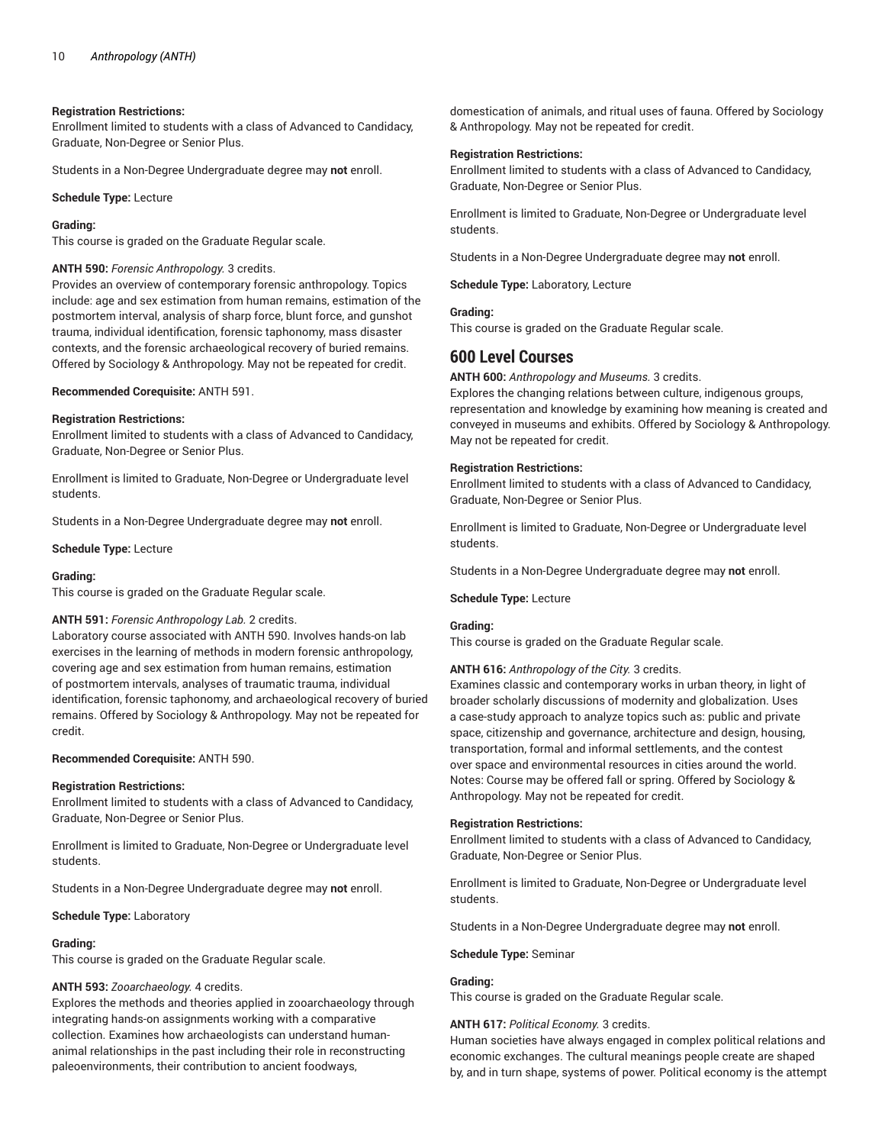# **Registration Restrictions:**

Enrollment limited to students with a class of Advanced to Candidacy, Graduate, Non-Degree or Senior Plus.

Students in a Non-Degree Undergraduate degree may **not** enroll.

**Schedule Type:** Lecture

#### **Grading:**

This course is graded on the Graduate Regular scale.

#### **ANTH 590:** *Forensic Anthropology.* 3 credits.

Provides an overview of contemporary forensic anthropology. Topics include: age and sex estimation from human remains, estimation of the postmortem interval, analysis of sharp force, blunt force, and gunshot trauma, individual identification, forensic taphonomy, mass disaster contexts, and the forensic archaeological recovery of buried remains. Offered by Sociology & Anthropology. May not be repeated for credit.

#### **Recommended Corequisite:** ANTH 591.

#### **Registration Restrictions:**

Enrollment limited to students with a class of Advanced to Candidacy, Graduate, Non-Degree or Senior Plus.

Enrollment is limited to Graduate, Non-Degree or Undergraduate level students.

Students in a Non-Degree Undergraduate degree may **not** enroll.

#### **Schedule Type:** Lecture

#### **Grading:**

This course is graded on the Graduate Regular scale.

#### **ANTH 591:** *Forensic Anthropology Lab.* 2 credits.

Laboratory course associated with ANTH 590. Involves hands-on lab exercises in the learning of methods in modern forensic anthropology, covering age and sex estimation from human remains, estimation of postmortem intervals, analyses of traumatic trauma, individual identification, forensic taphonomy, and archaeological recovery of buried remains. Offered by Sociology & Anthropology. May not be repeated for credit.

#### **Recommended Corequisite:** ANTH 590.

#### **Registration Restrictions:**

Enrollment limited to students with a class of Advanced to Candidacy, Graduate, Non-Degree or Senior Plus.

Enrollment is limited to Graduate, Non-Degree or Undergraduate level students.

Students in a Non-Degree Undergraduate degree may **not** enroll.

#### **Schedule Type:** Laboratory

# **Grading:**

This course is graded on the Graduate Regular scale.

#### **ANTH 593:** *Zooarchaeology.* 4 credits.

Explores the methods and theories applied in zooarchaeology through integrating hands-on assignments working with a comparative collection. Examines how archaeologists can understand humananimal relationships in the past including their role in reconstructing paleoenvironments, their contribution to ancient foodways,

domestication of animals, and ritual uses of fauna. Offered by Sociology & Anthropology. May not be repeated for credit.

# **Registration Restrictions:**

Enrollment limited to students with a class of Advanced to Candidacy, Graduate, Non-Degree or Senior Plus.

Enrollment is limited to Graduate, Non-Degree or Undergraduate level students.

Students in a Non-Degree Undergraduate degree may **not** enroll.

**Schedule Type:** Laboratory, Lecture

# **Grading:**

This course is graded on the Graduate Regular scale.

# **600 Level Courses**

**ANTH 600:** *Anthropology and Museums.* 3 credits.

Explores the changing relations between culture, indigenous groups, representation and knowledge by examining how meaning is created and conveyed in museums and exhibits. Offered by Sociology & Anthropology. May not be repeated for credit.

#### **Registration Restrictions:**

Enrollment limited to students with a class of Advanced to Candidacy, Graduate, Non-Degree or Senior Plus.

Enrollment is limited to Graduate, Non-Degree or Undergraduate level students.

Students in a Non-Degree Undergraduate degree may **not** enroll.

#### **Schedule Type:** Lecture

# **Grading:**

This course is graded on the Graduate Regular scale.

#### **ANTH 616:** *Anthropology of the City.* 3 credits.

Examines classic and contemporary works in urban theory, in light of broader scholarly discussions of modernity and globalization. Uses a case-study approach to analyze topics such as: public and private space, citizenship and governance, architecture and design, housing, transportation, formal and informal settlements, and the contest over space and environmental resources in cities around the world. Notes: Course may be offered fall or spring. Offered by Sociology & Anthropology. May not be repeated for credit.

#### **Registration Restrictions:**

Enrollment limited to students with a class of Advanced to Candidacy, Graduate, Non-Degree or Senior Plus.

Enrollment is limited to Graduate, Non-Degree or Undergraduate level students.

Students in a Non-Degree Undergraduate degree may **not** enroll.

#### **Schedule Type:** Seminar

#### **Grading:**

This course is graded on the Graduate Regular scale.

#### **ANTH 617:** *Political Economy.* 3 credits.

Human societies have always engaged in complex political relations and economic exchanges. The cultural meanings people create are shaped by, and in turn shape, systems of power. Political economy is the attempt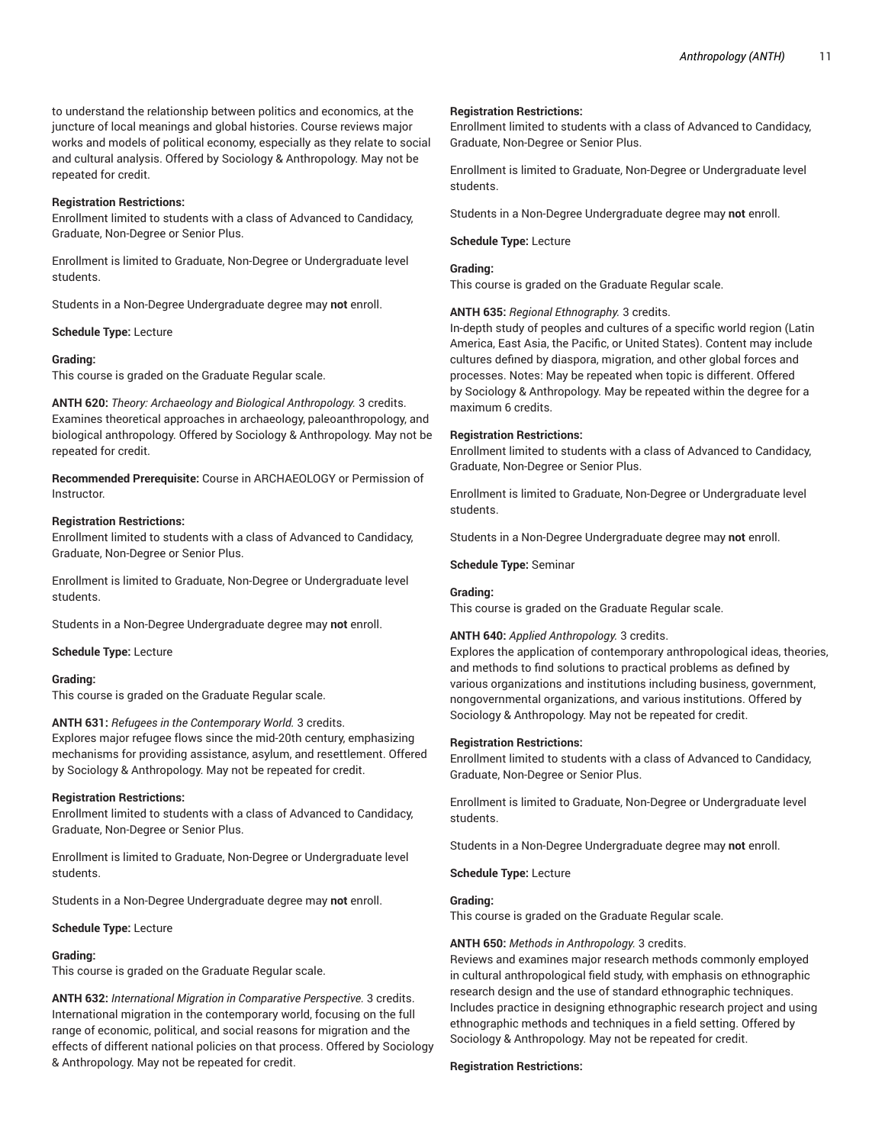to understand the relationship between politics and economics, at the juncture of local meanings and global histories. Course reviews major works and models of political economy, especially as they relate to social and cultural analysis. Offered by Sociology & Anthropology. May not be repeated for credit.

# **Registration Restrictions:**

Enrollment limited to students with a class of Advanced to Candidacy, Graduate, Non-Degree or Senior Plus.

Enrollment is limited to Graduate, Non-Degree or Undergraduate level students.

Students in a Non-Degree Undergraduate degree may **not** enroll.

# **Schedule Type:** Lecture

# **Grading:**

This course is graded on the Graduate Regular scale.

**ANTH 620:** *Theory: Archaeology and Biological Anthropology.* 3 credits. Examines theoretical approaches in archaeology, paleoanthropology, and biological anthropology. Offered by Sociology & Anthropology. May not be repeated for credit.

**Recommended Prerequisite:** Course in ARCHAEOLOGY or Permission of Instructor.

# **Registration Restrictions:**

Enrollment limited to students with a class of Advanced to Candidacy, Graduate, Non-Degree or Senior Plus.

Enrollment is limited to Graduate, Non-Degree or Undergraduate level students.

Students in a Non-Degree Undergraduate degree may **not** enroll.

**Schedule Type:** Lecture

# **Grading:**

This course is graded on the Graduate Regular scale.

# **ANTH 631:** *Refugees in the Contemporary World.* 3 credits.

Explores major refugee flows since the mid-20th century, emphasizing mechanisms for providing assistance, asylum, and resettlement. Offered by Sociology & Anthropology. May not be repeated for credit.

# **Registration Restrictions:**

Enrollment limited to students with a class of Advanced to Candidacy, Graduate, Non-Degree or Senior Plus.

Enrollment is limited to Graduate, Non-Degree or Undergraduate level students.

Students in a Non-Degree Undergraduate degree may **not** enroll.

# **Schedule Type:** Lecture

# **Grading:**

This course is graded on the Graduate Regular scale.

**ANTH 632:** *International Migration in Comparative Perspective.* 3 credits. International migration in the contemporary world, focusing on the full range of economic, political, and social reasons for migration and the effects of different national policies on that process. Offered by Sociology & Anthropology. May not be repeated for credit.

#### **Registration Restrictions:**

Enrollment limited to students with a class of Advanced to Candidacy, Graduate, Non-Degree or Senior Plus.

Enrollment is limited to Graduate, Non-Degree or Undergraduate level students.

Students in a Non-Degree Undergraduate degree may **not** enroll.

**Schedule Type:** Lecture

# **Grading:**

This course is graded on the Graduate Regular scale.

# **ANTH 635:** *Regional Ethnography.* 3 credits.

In-depth study of peoples and cultures of a specific world region (Latin America, East Asia, the Pacific, or United States). Content may include cultures defined by diaspora, migration, and other global forces and processes. Notes: May be repeated when topic is different. Offered by Sociology & Anthropology. May be repeated within the degree for a maximum 6 credits.

#### **Registration Restrictions:**

Enrollment limited to students with a class of Advanced to Candidacy, Graduate, Non-Degree or Senior Plus.

Enrollment is limited to Graduate, Non-Degree or Undergraduate level students.

Students in a Non-Degree Undergraduate degree may **not** enroll.

**Schedule Type:** Seminar

# **Grading:**

This course is graded on the Graduate Regular scale.

# **ANTH 640:** *Applied Anthropology.* 3 credits.

Explores the application of contemporary anthropological ideas, theories, and methods to find solutions to practical problems as defined by various organizations and institutions including business, government, nongovernmental organizations, and various institutions. Offered by Sociology & Anthropology. May not be repeated for credit.

# **Registration Restrictions:**

Enrollment limited to students with a class of Advanced to Candidacy, Graduate, Non-Degree or Senior Plus.

Enrollment is limited to Graduate, Non-Degree or Undergraduate level students.

Students in a Non-Degree Undergraduate degree may **not** enroll.

**Schedule Type:** Lecture

# **Grading:**

This course is graded on the Graduate Regular scale.

# **ANTH 650:** *Methods in Anthropology.* 3 credits.

Reviews and examines major research methods commonly employed in cultural anthropological field study, with emphasis on ethnographic research design and the use of standard ethnographic techniques. Includes practice in designing ethnographic research project and using ethnographic methods and techniques in a field setting. Offered by Sociology & Anthropology. May not be repeated for credit.

# **Registration Restrictions:**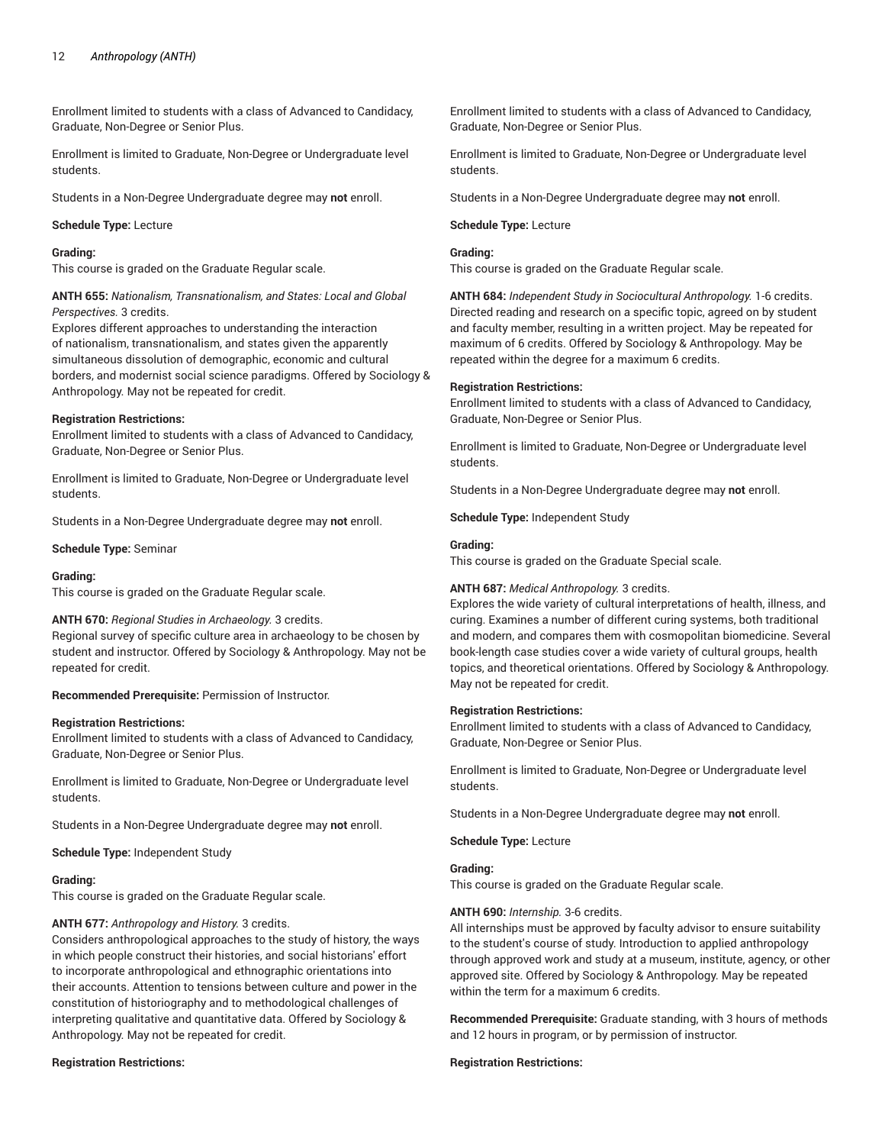Enrollment limited to students with a class of Advanced to Candidacy, Graduate, Non-Degree or Senior Plus.

Enrollment is limited to Graduate, Non-Degree or Undergraduate level students.

Students in a Non-Degree Undergraduate degree may **not** enroll.

#### **Schedule Type:** Lecture

# **Grading:**

This course is graded on the Graduate Regular scale.

**ANTH 655:** *Nationalism, Transnationalism, and States: Local and Global Perspectives.* 3 credits.

Explores different approaches to understanding the interaction of nationalism, transnationalism, and states given the apparently simultaneous dissolution of demographic, economic and cultural borders, and modernist social science paradigms. Offered by Sociology & Anthropology. May not be repeated for credit.

#### **Registration Restrictions:**

Enrollment limited to students with a class of Advanced to Candidacy, Graduate, Non-Degree or Senior Plus.

Enrollment is limited to Graduate, Non-Degree or Undergraduate level students.

Students in a Non-Degree Undergraduate degree may **not** enroll.

#### **Schedule Type:** Seminar

#### **Grading:**

This course is graded on the Graduate Regular scale.

# **ANTH 670:** *Regional Studies in Archaeology.* 3 credits.

Regional survey of specific culture area in archaeology to be chosen by student and instructor. Offered by Sociology & Anthropology. May not be repeated for credit.

**Recommended Prerequisite:** Permission of Instructor.

#### **Registration Restrictions:**

Enrollment limited to students with a class of Advanced to Candidacy, Graduate, Non-Degree or Senior Plus.

Enrollment is limited to Graduate, Non-Degree or Undergraduate level students.

Students in a Non-Degree Undergraduate degree may **not** enroll.

**Schedule Type:** Independent Study

# **Grading:**

This course is graded on the Graduate Regular scale.

# **ANTH 677:** *Anthropology and History.* 3 credits.

Considers anthropological approaches to the study of history, the ways in which people construct their histories, and social historians' effort to incorporate anthropological and ethnographic orientations into their accounts. Attention to tensions between culture and power in the constitution of historiography and to methodological challenges of interpreting qualitative and quantitative data. Offered by Sociology & Anthropology. May not be repeated for credit.

# **Registration Restrictions:**

Enrollment limited to students with a class of Advanced to Candidacy, Graduate, Non-Degree or Senior Plus.

Enrollment is limited to Graduate, Non-Degree or Undergraduate level students.

Students in a Non-Degree Undergraduate degree may **not** enroll.

#### **Schedule Type:** Lecture

# **Grading:**

This course is graded on the Graduate Regular scale.

**ANTH 684:** *Independent Study in Sociocultural Anthropology.* 1-6 credits. Directed reading and research on a specific topic, agreed on by student and faculty member, resulting in a written project. May be repeated for maximum of 6 credits. Offered by Sociology & Anthropology. May be repeated within the degree for a maximum 6 credits.

#### **Registration Restrictions:**

Enrollment limited to students with a class of Advanced to Candidacy, Graduate, Non-Degree or Senior Plus.

Enrollment is limited to Graduate, Non-Degree or Undergraduate level students.

Students in a Non-Degree Undergraduate degree may **not** enroll.

**Schedule Type:** Independent Study

#### **Grading:**

This course is graded on the Graduate Special scale.

# **ANTH 687:** *Medical Anthropology.* 3 credits.

Explores the wide variety of cultural interpretations of health, illness, and curing. Examines a number of different curing systems, both traditional and modern, and compares them with cosmopolitan biomedicine. Several book-length case studies cover a wide variety of cultural groups, health topics, and theoretical orientations. Offered by Sociology & Anthropology. May not be repeated for credit.

#### **Registration Restrictions:**

Enrollment limited to students with a class of Advanced to Candidacy, Graduate, Non-Degree or Senior Plus.

Enrollment is limited to Graduate, Non-Degree or Undergraduate level students.

Students in a Non-Degree Undergraduate degree may **not** enroll.

**Schedule Type:** Lecture

# **Grading:**

This course is graded on the Graduate Regular scale.

#### **ANTH 690:** *Internship.* 3-6 credits.

All internships must be approved by faculty advisor to ensure suitability to the student's course of study. Introduction to applied anthropology through approved work and study at a museum, institute, agency, or other approved site. Offered by Sociology & Anthropology. May be repeated within the term for a maximum 6 credits.

**Recommended Prerequisite:** Graduate standing, with 3 hours of methods and 12 hours in program, or by permission of instructor.

#### **Registration Restrictions:**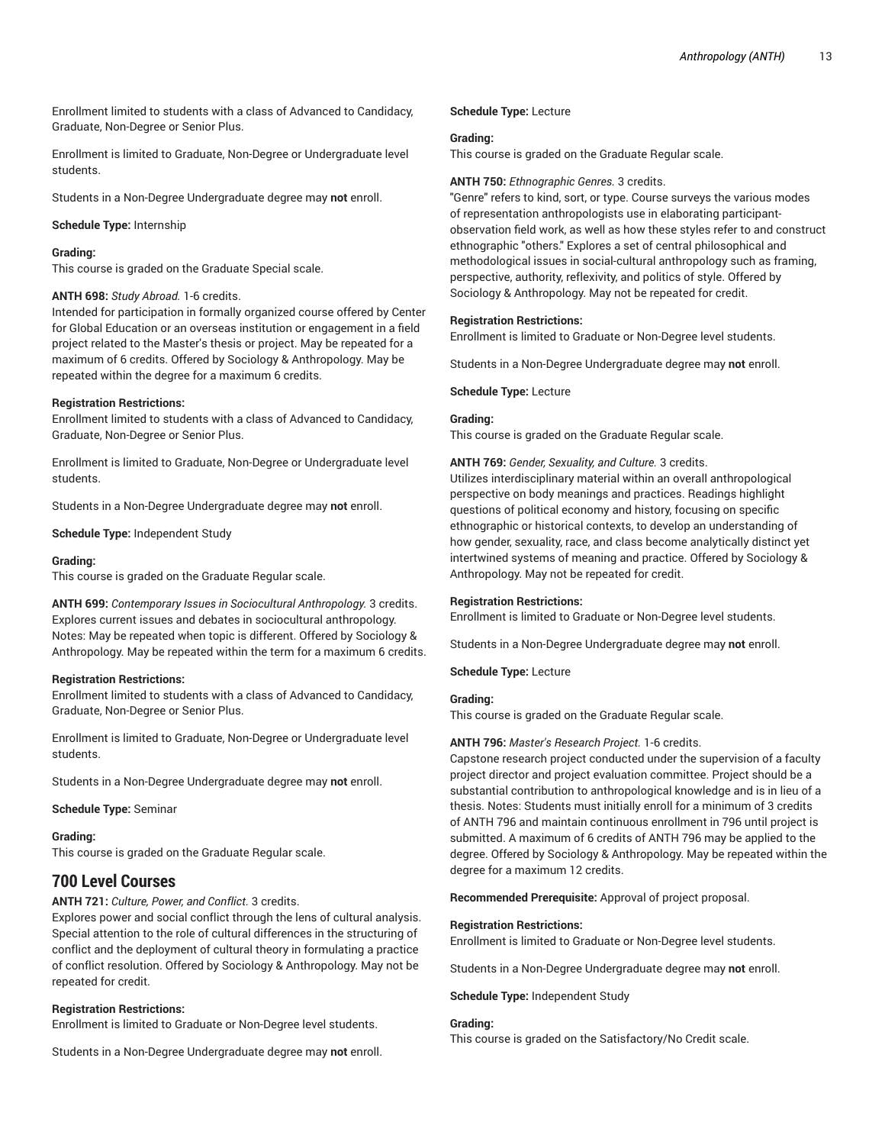Enrollment limited to students with a class of Advanced to Candidacy, Graduate, Non-Degree or Senior Plus.

Enrollment is limited to Graduate, Non-Degree or Undergraduate level students.

Students in a Non-Degree Undergraduate degree may **not** enroll.

**Schedule Type:** Internship

#### **Grading:**

This course is graded on the Graduate Special scale.

#### **ANTH 698:** *Study Abroad.* 1-6 credits.

Intended for participation in formally organized course offered by Center for Global Education or an overseas institution or engagement in a field project related to the Master's thesis or project. May be repeated for a maximum of 6 credits. Offered by Sociology & Anthropology. May be repeated within the degree for a maximum 6 credits.

#### **Registration Restrictions:**

Enrollment limited to students with a class of Advanced to Candidacy, Graduate, Non-Degree or Senior Plus.

Enrollment is limited to Graduate, Non-Degree or Undergraduate level students.

Students in a Non-Degree Undergraduate degree may **not** enroll.

**Schedule Type:** Independent Study

#### **Grading:**

This course is graded on the Graduate Regular scale.

**ANTH 699:** *Contemporary Issues in Sociocultural Anthropology.* 3 credits. Explores current issues and debates in sociocultural anthropology. Notes: May be repeated when topic is different. Offered by Sociology & Anthropology. May be repeated within the term for a maximum 6 credits.

#### **Registration Restrictions:**

Enrollment limited to students with a class of Advanced to Candidacy, Graduate, Non-Degree or Senior Plus.

Enrollment is limited to Graduate, Non-Degree or Undergraduate level students.

Students in a Non-Degree Undergraduate degree may **not** enroll.

# **Schedule Type:** Seminar

#### **Grading:**

This course is graded on the Graduate Regular scale.

# **700 Level Courses**

**ANTH 721:** *Culture, Power, and Conflict.* 3 credits.

Explores power and social conflict through the lens of cultural analysis. Special attention to the role of cultural differences in the structuring of conflict and the deployment of cultural theory in formulating a practice of conflict resolution. Offered by Sociology & Anthropology. May not be repeated for credit.

# **Registration Restrictions:**

Enrollment is limited to Graduate or Non-Degree level students.

Students in a Non-Degree Undergraduate degree may **not** enroll.

#### **Schedule Type:** Lecture

#### **Grading:**

This course is graded on the Graduate Regular scale.

# **ANTH 750:** *Ethnographic Genres.* 3 credits.

"Genre" refers to kind, sort, or type. Course surveys the various modes of representation anthropologists use in elaborating participantobservation field work, as well as how these styles refer to and construct ethnographic "others." Explores a set of central philosophical and methodological issues in social-cultural anthropology such as framing, perspective, authority, reflexivity, and politics of style. Offered by Sociology & Anthropology. May not be repeated for credit.

#### **Registration Restrictions:**

Enrollment is limited to Graduate or Non-Degree level students.

Students in a Non-Degree Undergraduate degree may **not** enroll.

#### **Schedule Type:** Lecture

# **Grading:**

This course is graded on the Graduate Regular scale.

#### **ANTH 769:** *Gender, Sexuality, and Culture.* 3 credits.

Utilizes interdisciplinary material within an overall anthropological perspective on body meanings and practices. Readings highlight questions of political economy and history, focusing on specific ethnographic or historical contexts, to develop an understanding of how gender, sexuality, race, and class become analytically distinct yet intertwined systems of meaning and practice. Offered by Sociology & Anthropology. May not be repeated for credit.

#### **Registration Restrictions:**

Enrollment is limited to Graduate or Non-Degree level students.

Students in a Non-Degree Undergraduate degree may **not** enroll.

**Schedule Type:** Lecture

# **Grading:**

This course is graded on the Graduate Regular scale.

# **ANTH 796:** *Master's Research Project.* 1-6 credits.

Capstone research project conducted under the supervision of a faculty project director and project evaluation committee. Project should be a substantial contribution to anthropological knowledge and is in lieu of a thesis. Notes: Students must initially enroll for a minimum of 3 credits of ANTH 796 and maintain continuous enrollment in 796 until project is submitted. A maximum of 6 credits of ANTH 796 may be applied to the degree. Offered by Sociology & Anthropology. May be repeated within the degree for a maximum 12 credits.

**Recommended Prerequisite:** Approval of project proposal.

#### **Registration Restrictions:**

Enrollment is limited to Graduate or Non-Degree level students.

Students in a Non-Degree Undergraduate degree may **not** enroll.

**Schedule Type:** Independent Study

# **Grading:**

This course is graded on the Satisfactory/No Credit scale.